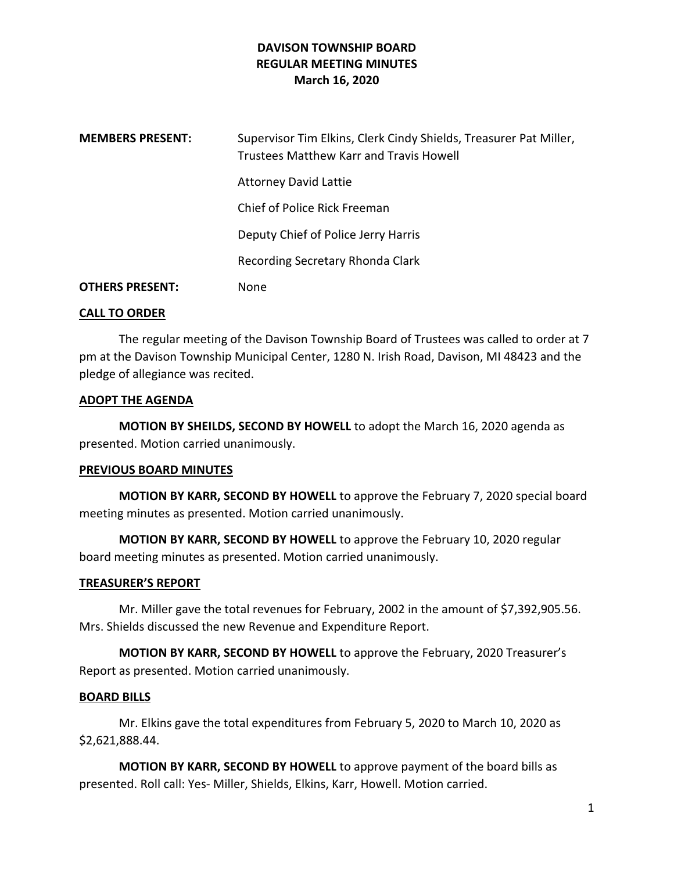## **DAVISON TOWNSHIP BOARD REGULAR MEETING MINUTES March 16, 2020**

| <b>MEMBERS PRESENT:</b> | Supervisor Tim Elkins, Clerk Cindy Shields, Treasurer Pat Miller,<br>Trustees Matthew Karr and Travis Howell |
|-------------------------|--------------------------------------------------------------------------------------------------------------|
|                         | <b>Attorney David Lattie</b>                                                                                 |
|                         | Chief of Police Rick Freeman                                                                                 |
|                         | Deputy Chief of Police Jerry Harris                                                                          |
|                         | Recording Secretary Rhonda Clark                                                                             |
| <b>OTHERS PRESENT:</b>  | None                                                                                                         |

### **CALL TO ORDER**

The regular meeting of the Davison Township Board of Trustees was called to order at 7 pm at the Davison Township Municipal Center, 1280 N. Irish Road, Davison, MI 48423 and the pledge of allegiance was recited.

### **ADOPT THE AGENDA**

**MOTION BY SHEILDS, SECOND BY HOWELL** to adopt the March 16, 2020 agenda as presented. Motion carried unanimously.

### **PREVIOUS BOARD MINUTES**

**MOTION BY KARR, SECOND BY HOWELL** to approve the February 7, 2020 special board meeting minutes as presented. Motion carried unanimously.

**MOTION BY KARR, SECOND BY HOWELL** to approve the February 10, 2020 regular board meeting minutes as presented. Motion carried unanimously.

### **TREASURER'S REPORT**

Mr. Miller gave the total revenues for February, 2002 in the amount of \$7,392,905.56. Mrs. Shields discussed the new Revenue and Expenditure Report.

**MOTION BY KARR, SECOND BY HOWELL** to approve the February, 2020 Treasurer's Report as presented. Motion carried unanimously.

### **BOARD BILLS**

Mr. Elkins gave the total expenditures from February 5, 2020 to March 10, 2020 as \$2,621,888.44.

**MOTION BY KARR, SECOND BY HOWELL** to approve payment of the board bills as presented. Roll call: Yes- Miller, Shields, Elkins, Karr, Howell. Motion carried.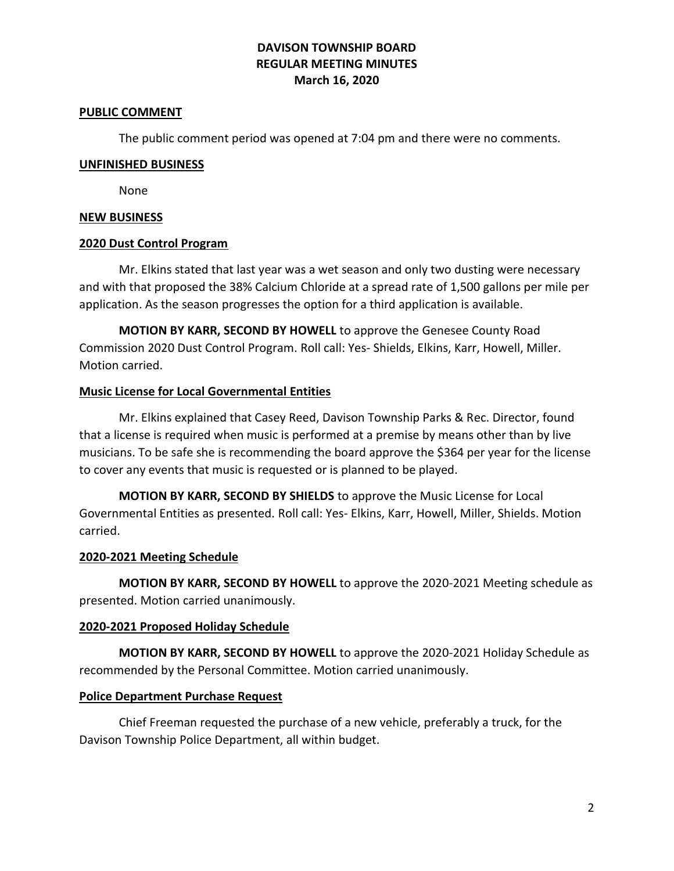# **DAVISON TOWNSHIP BOARD REGULAR MEETING MINUTES March 16, 2020**

#### **PUBLIC COMMENT**

The public comment period was opened at 7:04 pm and there were no comments.

#### **UNFINISHED BUSINESS**

None

### **NEW BUSINESS**

### **2020 Dust Control Program**

Mr. Elkins stated that last year was a wet season and only two dusting were necessary and with that proposed the 38% Calcium Chloride at a spread rate of 1,500 gallons per mile per application. As the season progresses the option for a third application is available.

**MOTION BY KARR, SECOND BY HOWELL** to approve the Genesee County Road Commission 2020 Dust Control Program. Roll call: Yes- Shields, Elkins, Karr, Howell, Miller. Motion carried.

### **Music License for Local Governmental Entities**

Mr. Elkins explained that Casey Reed, Davison Township Parks & Rec. Director, found that a license is required when music is performed at a premise by means other than by live musicians. To be safe she is recommending the board approve the \$364 per year for the license to cover any events that music is requested or is planned to be played.

**MOTION BY KARR, SECOND BY SHIELDS** to approve the Music License for Local Governmental Entities as presented. Roll call: Yes- Elkins, Karr, Howell, Miller, Shields. Motion carried.

### **2020-2021 Meeting Schedule**

**MOTION BY KARR, SECOND BY HOWELL** to approve the 2020-2021 Meeting schedule as presented. Motion carried unanimously.

### **2020-2021 Proposed Holiday Schedule**

**MOTION BY KARR, SECOND BY HOWELL** to approve the 2020-2021 Holiday Schedule as recommended by the Personal Committee. Motion carried unanimously.

### **Police Department Purchase Request**

Chief Freeman requested the purchase of a new vehicle, preferably a truck, for the Davison Township Police Department, all within budget.